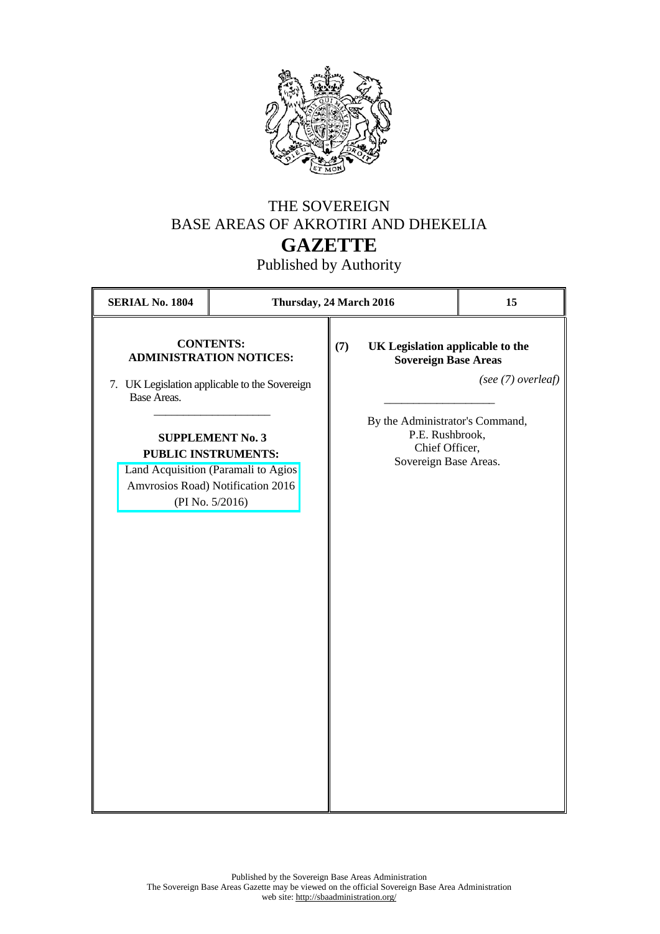

## THE SOVEREIGN BASE AREAS OF AKROTIRI AND DHEKELIA **GAZETTE**

Published by Authority

| <b>SERIAL No. 1804</b> | Thursday, 24 March 2016                                                                                                                                                                                                                                     |     | 15                                                                                                                                                                                     |
|------------------------|-------------------------------------------------------------------------------------------------------------------------------------------------------------------------------------------------------------------------------------------------------------|-----|----------------------------------------------------------------------------------------------------------------------------------------------------------------------------------------|
| Base Areas.            | <b>CONTENTS:</b><br><b>ADMINISTRATION NOTICES:</b><br>7. UK Legislation applicable to the Sovereign<br><b>SUPPLEMENT No. 3</b><br><b>PUBLIC INSTRUMENTS:</b><br>Land Acquisition (Paramali to Agios<br>Amvrosios Road) Notification 2016<br>(PI No. 5/2016) | (7) | UK Legislation applicable to the<br><b>Sovereign Base Areas</b><br>(see (7) overleaf)<br>By the Administrator's Command,<br>P.E. Rushbrook,<br>Chief Officer,<br>Sovereign Base Areas. |